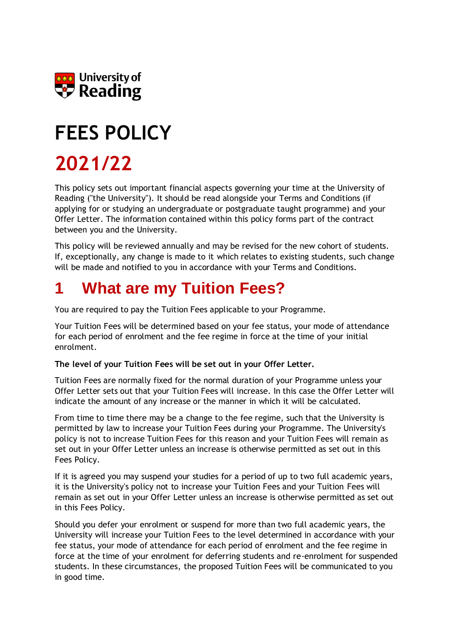

# **FEES POLICY**

## **2021/22**

This policy sets out important financial aspects governing your time at the University of Reading ("the University"). It should be read alongside your Terms and Conditions (if applying for or studying an undergraduate or postgraduate taught programme) and your Offer Letter. The information contained within this policy forms part of the contract between you and the University.

This policy will be reviewed annually and may be revised for the new cohort of students. If, exceptionally, any change is made to it which relates to existing students, such change will be made and notified to you in accordance with your Terms and Conditions.

### **1 What are my Tuition Fees?**

You are required to pay the Tuition Fees applicable to your Programme.

Your Tuition Fees will be determined based on your fee status, your mode of attendance for each period of enrolment and the fee regime in force at the time of your initial enrolment.

#### **The level of your Tuition Fees will be set out in your Offer Letter.**

Tuition Fees are normally fixed for the normal duration of your Programme unless your Offer Letter sets out that your Tuition Fees will increase. In this case the Offer Letter will indicate the amount of any increase or the manner in which it will be calculated.

From time to time there may be a change to the fee regime, such that the University is permitted by law to increase your Tuition Fees during your Programme. The University's policy is not to increase Tuition Fees for this reason and your Tuition Fees will remain as set out in your Offer Letter unless an increase is otherwise permitted as set out in this Fees Policy.

If it is agreed you may suspend your studies for a period of up to two full academic years, it is the University's policy not to increase your Tuition Fees and your Tuition Fees will remain as set out in your Offer Letter unless an increase is otherwise permitted as set out in this Fees Policy.

Should you defer your enrolment or suspend for more than two full academic years, the University will increase your Tuition Fees to the level determined in accordance with your fee status, your mode of attendance for each period of enrolment and the fee regime in force at the time of your enrolment for deferring students and re-enrolment for suspended students. In these circumstances, the proposed Tuition Fees will be communicated to you in good time.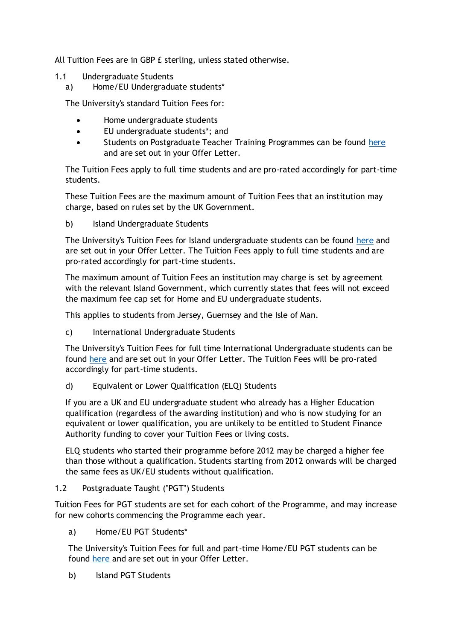All Tuition Fees are in GBP £ sterling, unless stated otherwise.

- 1.1 Undergraduate Students
	- a) Home/EU Undergraduate students\*

The University's standard Tuition Fees for:

- Home undergraduate students
- EU undergraduate students\*; and
- Students on Postgraduate Teacher Training Programmes can be found [here](https://www.reading.ac.uk/essentials/money_matters/tuition-fees/fee-tables) and are set out in your Offer Letter.

The Tuition Fees apply to full time students and are pro-rated accordingly for part-time students.

These Tuition Fees are the maximum amount of Tuition Fees that an institution may charge, based on rules set by the UK Government.

b) Island Undergraduate Students

The University's Tuition Fees for Island undergraduate students can be found [here](https://www.reading.ac.uk/essentials/money_matters/tuition-fees/fee-tables) and are set out in your Offer Letter. The Tuition Fees apply to full time students and are pro-rated accordingly for part-time students.

The maximum amount of Tuition Fees an institution may charge is set by agreement with the relevant Island Government, which currently states that fees will not exceed the maximum fee cap set for Home and EU undergraduate students.

This applies to students from Jersey, Guernsey and the Isle of Man.

c) International Undergraduate Students

The University's Tuition Fees for full time International Undergraduate students can be found [here](https://www.reading.ac.uk/essentials/money_matters/tuition-fees/fee-tables) and are set out in your Offer Letter. The Tuition Fees will be pro-rated accordingly for part-time students.

d) Equivalent or Lower Qualification (ELQ) Students

If you are a UK and EU undergraduate student who already has a Higher Education qualification (regardless of the awarding institution) and who is now studying for an equivalent or lower qualification, you are unlikely to be entitled to Student Finance Authority funding to cover your Tuition Fees or living costs.

ELQ students who started their programme before 2012 may be charged a higher fee than those without a qualification. Students starting from 2012 onwards will be charged the same fees as UK/EU students without qualification.

#### 1.2 Postgraduate Taught ("PGT") Students

Tuition Fees for PGT students are set for each cohort of the Programme, and may increase for new cohorts commencing the Programme each year.

a) Home/EU PGT Students\*

The University's Tuition Fees for full and part-time Home/EU PGT students can be found [here](https://www.reading.ac.uk/essentials/Money_matters/Tuition-fees/Fee-Tables) and are set out in your Offer Letter.

b) Island PGT Students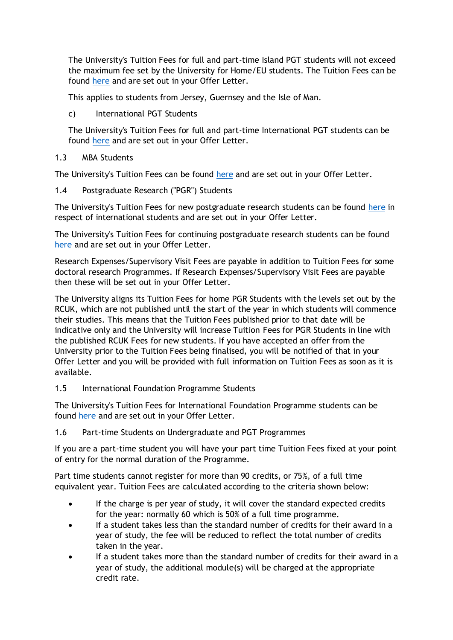The University's Tuition Fees for full and part-time Island PGT students will not exceed the maximum fee set by the University for Home/EU students. The Tuition Fees can be found [here](https://www.reading.ac.uk/essentials/Money_matters/Tuition-fees/Fee-Tables) and are set out in your Offer Letter.

This applies to students from Jersey, Guernsey and the Isle of Man.

c) International PGT Students

The University's Tuition Fees for full and part-time International PGT students can be found [here](https://www.reading.ac.uk/essentials/Money_matters/Tuition-fees/Fee-Tables) and are set out in your Offer Letter.

1.3 MBA Students

The University's Tuition Fees can be found [here](https://www.reading.ac.uk/essentials/Money_matters/Tuition-fees/Fee-Tables) and are set out in your Offer Letter.

1.4 Postgraduate Research ("PGR") Students

The University's Tuition Fees for new postgraduate research students can be found [here](https://www.reading.ac.uk/essentials/Money_matters/Tuition-fees/Fee-Tables) in respect of international students and are set out in your Offer Letter.

The University's Tuition Fees for continuing postgraduate research students can be found [here](https://www.reading.ac.uk/essentials/Money_matters/Tuition-fees/Fee-Tables) and are set out in your Offer Letter.

Research Expenses/Supervisory Visit Fees are payable in addition to Tuition Fees for some doctoral research Programmes. If Research Expenses/Supervisory Visit Fees are payable then these will be set out in your Offer Letter.

The University aligns its Tuition Fees for home PGR Students with the levels set out by the RCUK, which are not published until the start of the year in which students will commence their studies. This means that the Tuition Fees published prior to that date will be indicative only and the University will increase Tuition Fees for PGR Students in line with the published RCUK Fees for new students. If you have accepted an offer from the University prior to the Tuition Fees being finalised, you will be notified of that in your Offer Letter and you will be provided with full information on Tuition Fees as soon as it is available.

1.5 International Foundation Programme Students

The University's Tuition Fees for International Foundation Programme students can be found [here](https://www.reading.ac.uk/essentials/Money_matters/Tuition-fees/Fee-Tables) and are set out in your Offer Letter.

#### 1.6 Part-time Students on Undergraduate and PGT Programmes

If you are a part-time student you will have your part time Tuition Fees fixed at your point of entry for the normal duration of the Programme.

Part time students cannot register for more than 90 credits, or 75%, of a full time equivalent year. Tuition Fees are calculated according to the criteria shown below:

- If the charge is per year of study, it will cover the standard expected credits for the year: normally 60 which is 50% of a full time programme.
- If a student takes less than the standard number of credits for their award in a year of study, the fee will be reduced to reflect the total number of credits taken in the year.
- If a student takes more than the standard number of credits for their award in a year of study, the additional module(s) will be charged at the appropriate credit rate.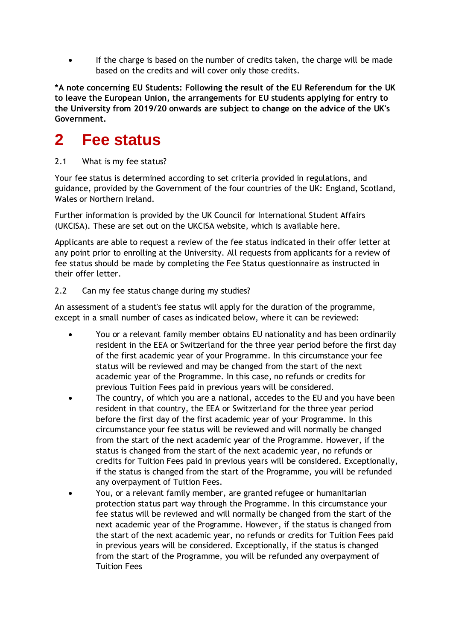If the charge is based on the number of credits taken, the charge will be made based on the credits and will cover only those credits.

**\*A note concerning EU Students: Following the result of the EU Referendum for the UK to leave the European Union, the arrangements for EU students applying for entry to the University from 2019/20 onwards are subject to change on the advice of the UK's Government.**

### **2 Fee status**

2.1 What is my fee status?

Your fee status is determined according to set criteria provided in regulations, and guidance, provided by the Government of the four countries of the UK: England, Scotland, Wales or Northern Ireland

Further information is provided by the UK Council for International Student Affairs (UKCISA). These are set out on the UKCISA website, which is available here.

Applicants are able to request a review of the fee status indicated in their offer letter at any point prior to enrolling at the University. All requests from applicants for a review of fee status should be made by completing the Fee Status questionnaire as instructed in their offer letter.

#### 2.2 Can my fee status change during my studies?

An assessment of a student's fee status will apply for the duration of the programme, except in a small number of cases as indicated below, where it can be reviewed:

- You or a relevant family member obtains EU nationality and has been ordinarily resident in the EEA or Switzerland for the three year period before the first day of the first academic year of your Programme. In this circumstance your fee status will be reviewed and may be changed from the start of the next academic year of the Programme. In this case, no refunds or credits for previous Tuition Fees paid in previous years will be considered.
- The country, of which you are a national, accedes to the EU and you have been resident in that country, the EEA or Switzerland for the three year period before the first day of the first academic year of your Programme. In this circumstance your fee status will be reviewed and will normally be changed from the start of the next academic year of the Programme. However, if the status is changed from the start of the next academic year, no refunds or credits for Tuition Fees paid in previous years will be considered. Exceptionally, if the status is changed from the start of the Programme, you will be refunded any overpayment of Tuition Fees.
- You, or a relevant family member, are granted refugee or humanitarian protection status part way through the Programme. In this circumstance your fee status will be reviewed and will normally be changed from the start of the next academic year of the Programme. However, if the status is changed from the start of the next academic year, no refunds or credits for Tuition Fees paid in previous years will be considered. Exceptionally, if the status is changed from the start of the Programme, you will be refunded any overpayment of Tuition Fees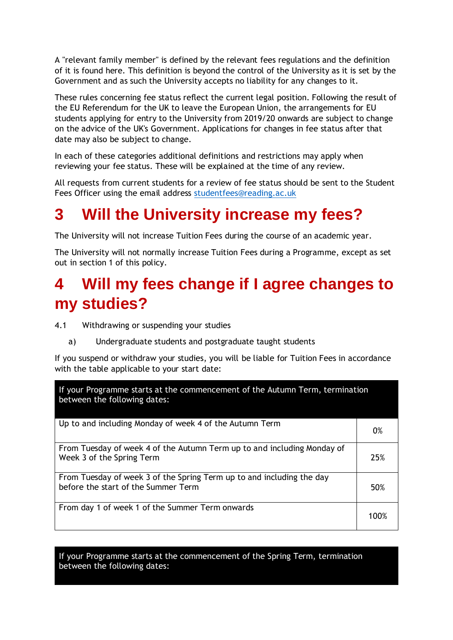A "relevant family member" is defined by the relevant fees regulations and the definition of it is found here. This definition is beyond the control of the University as it is set by the Government and as such the University accepts no liability for any changes to it.

These rules concerning fee status reflect the current legal position. Following the result of the EU Referendum for the UK to leave the European Union, the arrangements for EU students applying for entry to the University from 2019/20 onwards are subject to change on the advice of the UK's Government. Applications for changes in fee status after that date may also be subject to change.

In each of these categories additional definitions and restrictions may apply when reviewing your fee status. These will be explained at the time of any review.

All requests from current students for a review of fee status should be sent to the Student Fees Officer using the email address [studentfees@reading.ac.uk](mailto:studentfees@reading.ac.uk)

### **3 Will the University increase my fees?**

The University will not increase Tuition Fees during the course of an academic year.

The University will not normally increase Tuition Fees during a Programme, except as set out in section 1 of this policy.

### **4 Will my fees change if I agree changes to my studies?**

- 4.1 Withdrawing or suspending your studies
	- a) Undergraduate students and postgraduate taught students

If you suspend or withdraw your studies, you will be liable for Tuition Fees in accordance with the table applicable to your start date:

| If your Programme starts at the commencement of the Autumn Term, termination<br>between the following dates: |      |  |
|--------------------------------------------------------------------------------------------------------------|------|--|
| Up to and including Monday of week 4 of the Autumn Term                                                      | 0%   |  |
| From Tuesday of week 4 of the Autumn Term up to and including Monday of<br>Week 3 of the Spring Term         | 25%  |  |
| From Tuesday of week 3 of the Spring Term up to and including the day<br>before the start of the Summer Term | 50%  |  |
| From day 1 of week 1 of the Summer Term onwards                                                              | 100% |  |

If your Programme starts at the commencement of the Spring Term, termination between the following dates: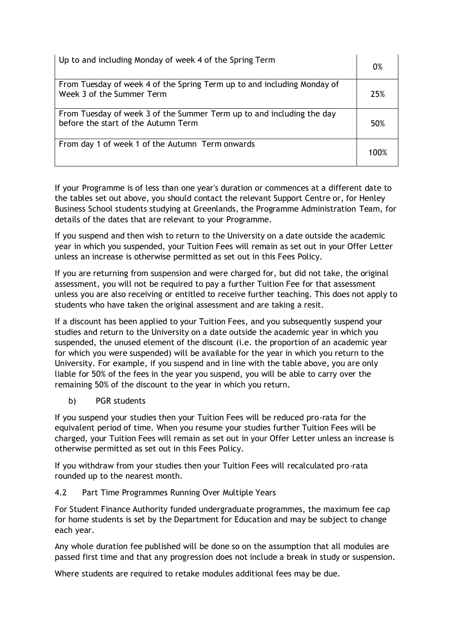| Up to and including Monday of week 4 of the Spring Term                                                      | 0%         |
|--------------------------------------------------------------------------------------------------------------|------------|
| From Tuesday of week 4 of the Spring Term up to and including Monday of<br>Week 3 of the Summer Term         | 25%        |
| From Tuesday of week 3 of the Summer Term up to and including the day<br>before the start of the Autumn Term | 50%        |
| From day 1 of week 1 of the Autumn Term onwards                                                              | 1 $10^{9}$ |

If your Programme is of less than one year's duration or commences at a different date to the tables set out above, you should contact the relevant Support Centre or, for Henley Business School students studying at Greenlands, the Programme Administration Team, for details of the dates that are relevant to your Programme.

If you suspend and then wish to return to the University on a date outside the academic year in which you suspended, your Tuition Fees will remain as set out in your Offer Letter unless an increase is otherwise permitted as set out in this Fees Policy.

If you are returning from suspension and were charged for, but did not take, the original assessment, you will not be required to pay a further Tuition Fee for that assessment unless you are also receiving or entitled to receive further teaching. This does not apply to students who have taken the original assessment and are taking a resit.

If a discount has been applied to your Tuition Fees, and you subsequently suspend your studies and return to the University on a date outside the academic year in which you suspended, the unused element of the discount (i.e. the proportion of an academic year for which you were suspended) will be available for the year in which you return to the University. For example, if you suspend and in line with the table above, you are only liable for 50% of the fees in the year you suspend, you will be able to carry over the remaining 50% of the discount to the year in which you return.

b) PGR students

If you suspend your studies then your Tuition Fees will be reduced pro-rata for the equivalent period of time. When you resume your studies further Tuition Fees will be charged, your Tuition Fees will remain as set out in your Offer Letter unless an increase is otherwise permitted as set out in this Fees Policy.

If you withdraw from your studies then your Tuition Fees will recalculated pro-rata rounded up to the nearest month.

4.2 Part Time Programmes Running Over Multiple Years

For Student Finance Authority funded undergraduate programmes, the maximum fee cap for home students is set by the Department for Education and may be subject to change each year.

Any whole duration fee published will be done so on the assumption that all modules are passed first time and that any progression does not include a break in study or suspension.

Where students are required to retake modules additional fees may be due.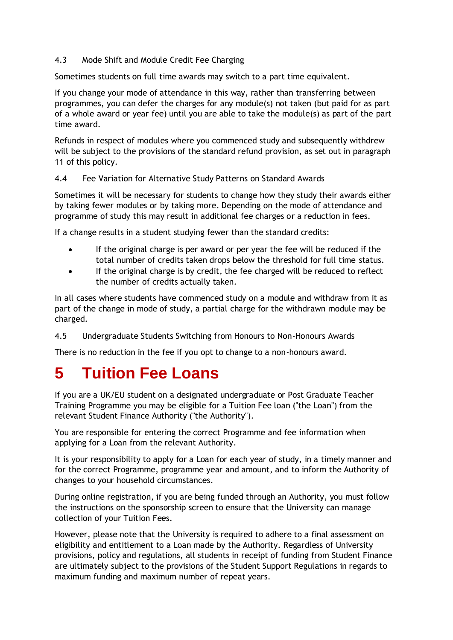#### 4.3 Mode Shift and Module Credit Fee Charging

Sometimes students on full time awards may switch to a part time equivalent.

If you change your mode of attendance in this way, rather than transferring between programmes, you can defer the charges for any module(s) not taken (but paid for as part of a whole award or year fee) until you are able to take the module(s) as part of the part time award.

Refunds in respect of modules where you commenced study and subsequently withdrew will be subject to the provisions of the standard refund provision, as set out in paragraph 11 of this policy.

4.4 Fee Variation for Alternative Study Patterns on Standard Awards

Sometimes it will be necessary for students to change how they study their awards either by taking fewer modules or by taking more. Depending on the mode of attendance and programme of study this may result in additional fee charges or a reduction in fees.

If a change results in a student studying fewer than the standard credits:

- If the original charge is per award or per year the fee will be reduced if the total number of credits taken drops below the threshold for full time status.
- If the original charge is by credit, the fee charged will be reduced to reflect the number of credits actually taken.

In all cases where students have commenced study on a module and withdraw from it as part of the change in mode of study, a partial charge for the withdrawn module may be charged.

4.5 Undergraduate Students Switching from Honours to Non-Honours Awards

There is no reduction in the fee if you opt to change to a non-honours award.

### **5 Tuition Fee Loans**

If you are a UK/EU student on a designated undergraduate or Post Graduate Teacher Training Programme you may be eligible for a Tuition Fee loan ("the Loan") from the relevant Student Finance Authority ("the Authority").

You are responsible for entering the correct Programme and fee information when applying for a Loan from the relevant Authority.

It is your responsibility to apply for a Loan for each year of study, in a timely manner and for the correct Programme, programme year and amount, and to inform the Authority of changes to your household circumstances.

During online registration, if you are being funded through an Authority, you must follow the instructions on the sponsorship screen to ensure that the University can manage collection of your Tuition Fees.

However, please note that the University is required to adhere to a final assessment on eligibility and entitlement to a Loan made by the Authority. Regardless of University provisions, policy and regulations, all students in receipt of funding from Student Finance are ultimately subject to the provisions of the Student Support Regulations in regards to maximum funding and maximum number of repeat years.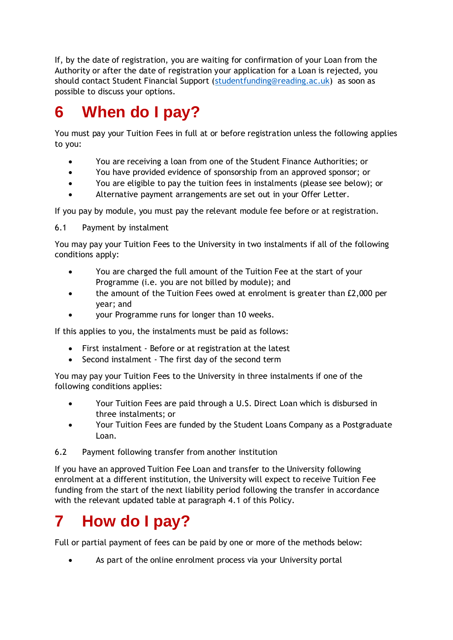If, by the date of registration, you are waiting for confirmation of your Loan from the Authority or after the date of registration your application for a Loan is rejected, you should contact Student Financial Support [\(studentfunding@reading.ac.uk\)](mailto:studentfunding@reading.ac.uk) as soon as possible to discuss your options.

### **6 When do I pay?**

You must pay your Tuition Fees in full at or before registration unless the following applies to you:

- You are receiving a loan from one of the Student Finance Authorities; or
- You have provided evidence of sponsorship from an approved sponsor; or
- You are eligible to pay the tuition fees in instalments (please see below); or
- Alternative payment arrangements are set out in your Offer Letter.

If you pay by module, you must pay the relevant module fee before or at registration.

6.1 Payment by instalment

You may pay your Tuition Fees to the University in two instalments if all of the following conditions apply:

- You are charged the full amount of the Tuition Fee at the start of your Programme (i.e. you are not billed by module); and
- the amount of the Tuition Fees owed at enrolment is greater than £2,000 per year; and
- your Programme runs for longer than 10 weeks.

If this applies to you, the instalments must be paid as follows:

- First instalment Before or at registration at the latest
- Second instalment The first day of the second term

You may pay your Tuition Fees to the University in three instalments if one of the following conditions applies:

- Your Tuition Fees are paid through a U.S. Direct Loan which is disbursed in three instalments; or
- Your Tuition Fees are funded by the Student Loans Company as a Postgraduate Loan.
- 6.2 Payment following transfer from another institution

If you have an approved Tuition Fee Loan and transfer to the University following enrolment at a different institution, the University will expect to receive Tuition Fee funding from the start of the next liability period following the transfer in accordance with the relevant updated table at paragraph 4.1 of this Policy.

### **7 How do I pay?**

Full or partial payment of fees can be paid by one or more of the methods below:

• As part of the online enrolment process via your University portal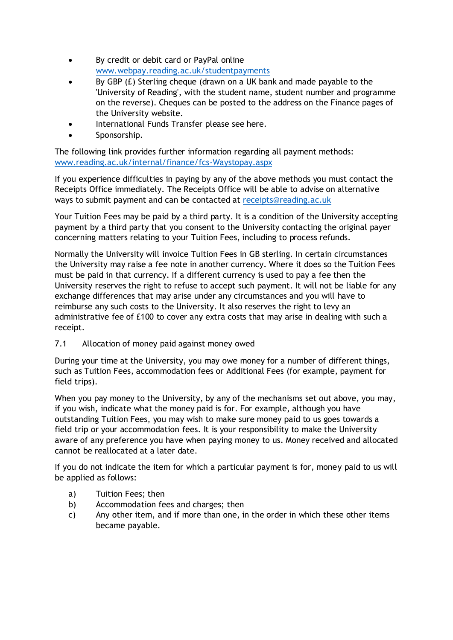- By credit or debit card or PayPal online [www.webpay.reading.ac.uk/studentpayments](http://www.webpay.reading.ac.uk/studentpayments)
- By GBP (£) Sterling cheque (drawn on a UK bank and made payable to the 'University of Reading', with the student name, student number and programme on the reverse). Cheques can be posted to the address on the Finance pages of the University website.
- International Funds Transfer please see here.
- Sponsorship.

The following link provides further information regarding all payment methods: [www.reading.ac.uk/internal/finance/fcs-Waystopay.aspx](http://www.reading.ac.uk/internal/finance/fcs-Waystopay.aspx)

If you experience difficulties in paying by any of the above methods you must contact the Receipts Office immediately. The Receipts Office will be able to advise on alternative ways to submit payment and can be contacted at [receipts@reading.ac.uk](mailto:receipts@reading.ac.uk)

Your Tuition Fees may be paid by a third party. It is a condition of the University accepting payment by a third party that you consent to the University contacting the original payer concerning matters relating to your Tuition Fees, including to process refunds.

Normally the University will invoice Tuition Fees in GB sterling. In certain circumstances the University may raise a fee note in another currency. Where it does so the Tuition Fees must be paid in that currency. If a different currency is used to pay a fee then the University reserves the right to refuse to accept such payment. It will not be liable for any exchange differences that may arise under any circumstances and you will have to reimburse any such costs to the University. It also reserves the right to levy an administrative fee of £100 to cover any extra costs that may arise in dealing with such a receipt.

7.1 Allocation of money paid against money owed

During your time at the University, you may owe money for a number of different things, such as Tuition Fees, accommodation fees or Additional Fees (for example, payment for field trips).

When you pay money to the University, by any of the mechanisms set out above, you may, if you wish, indicate what the money paid is for. For example, although you have outstanding Tuition Fees, you may wish to make sure money paid to us goes towards a field trip or your accommodation fees. It is your responsibility to make the University aware of any preference you have when paying money to us. Money received and allocated cannot be reallocated at a later date.

If you do not indicate the item for which a particular payment is for, money paid to us will be applied as follows:

- a) Tuition Fees; then
- b) Accommodation fees and charges; then
- c) Any other item, and if more than one, in the order in which these other items became payable.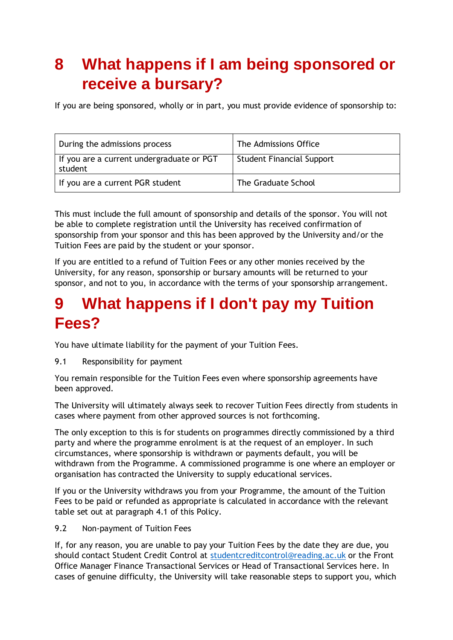### **8 What happens if I am being sponsored or receive a bursary?**

If you are being sponsored, wholly or in part, you must provide evidence of sponsorship to:

| During the admissions process                        | The Admissions Office            |
|------------------------------------------------------|----------------------------------|
| If you are a current undergraduate or PGT<br>student | <b>Student Financial Support</b> |
| If you are a current PGR student                     | The Graduate School              |

This must include the full amount of sponsorship and details of the sponsor. You will not be able to complete registration until the University has received confirmation of sponsorship from your sponsor and this has been approved by the University and/or the Tuition Fees are paid by the student or your sponsor.

If you are entitled to a refund of Tuition Fees or any other monies received by the University, for any reason, sponsorship or bursary amounts will be returned to your sponsor, and not to you, in accordance with the terms of your sponsorship arrangement.

### **9 What happens if I don't pay my Tuition Fees?**

You have ultimate liability for the payment of your Tuition Fees.

9.1 Responsibility for payment

You remain responsible for the Tuition Fees even where sponsorship agreements have been approved.

The University will ultimately always seek to recover Tuition Fees directly from students in cases where payment from other approved sources is not forthcoming.

The only exception to this is for students on programmes directly commissioned by a third party and where the programme enrolment is at the request of an employer. In such circumstances, where sponsorship is withdrawn or payments default, you will be withdrawn from the Programme. A commissioned programme is one where an employer or organisation has contracted the University to supply educational services.

If you or the University withdraws you from your Programme, the amount of the Tuition Fees to be paid or refunded as appropriate is calculated in accordance with the relevant table set out at paragraph 4.1 of this Policy.

9.2 Non-payment of Tuition Fees

If, for any reason, you are unable to pay your Tuition Fees by the date they are due, you should contact Student Credit Control at [studentcreditcontrol@reading.ac.uk](mailto:studentcreditcontrol@reading.ac.uk) or the Front Office Manager Finance Transactional Services or Head of Transactional Services here. In cases of genuine difficulty, the University will take reasonable steps to support you, which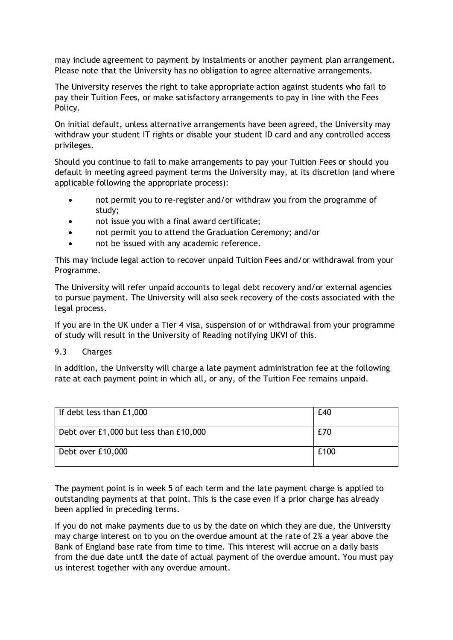may include agreement to payment by instalments or another payment plan arrangement. Please note that the University has no obligation to agree alternative arrangements.

The University reserves the right to take appropriate action against students who fail to pay their Tuition Fees, or make satisfactory arrangements to pay in line with the Fees Policy.

On initial default, unless alternative arrangements have been agreed, the University may withdraw your student IT rights or disable your student ID card and any controlled access privileges.

Should you continue to fail to make arrangements to pay your Tuition Fees or should you default in meeting agreed payment terms the University may, at its discretion (and where applicable following the appropriate process):

- not permit you to re-register and/or withdraw you from the programme of study;
- not issue you with a final award certificate;
- not permit you to attend the Graduation Ceremony; and/or
- not be issued with any academic reference.

This may include legal action to recover unpaid Tuition Fees and/or withdrawal from your Programme.

The University will refer unpaid accounts to legal debt recovery and/or external agencies to pursue payment. The University will also seek recovery of the costs associated with the legal process.

If you are in the UK under a Tier 4 visa, suspension of or withdrawal from your programme of study will result in the University of Reading notifying UKVI of this.

#### 9.3 Charges

In addition, the University will charge a late payment administration fee at the following rate at each payment point in which all, or any, of the Tuition Fee remains unpaid.

| If debt less than £1,000               | £40  |
|----------------------------------------|------|
| Debt over £1,000 but less than £10,000 | £70  |
| Debt over £10,000                      | £100 |

The payment point is in week 5 of each term and the late payment charge is applied to outstanding payments at that point. This is the case even if a prior charge has already been applied in preceding terms.

If you do not make payments due to us by the date on which they are due, the University may charge interest on to you on the overdue amount at the rate of 2% a year above the Bank of England base rate from time to time. This interest will accrue on a daily basis from the due date until the date of actual payment of the overdue amount. You must pay us interest together with any overdue amount.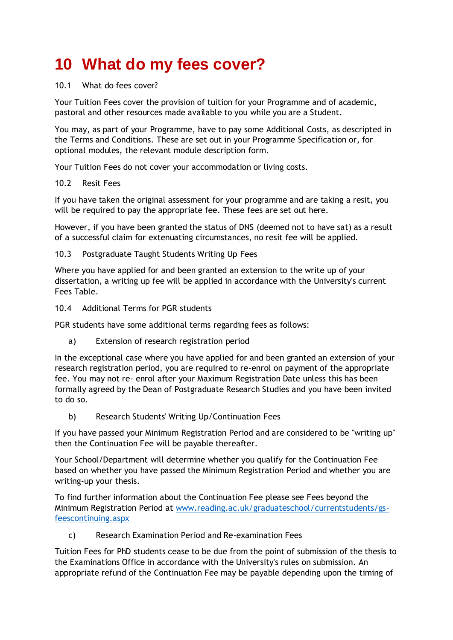### **10 What do my fees cover?**

#### 10.1 What do fees cover?

Your Tuition Fees cover the provision of tuition for your Programme and of academic, pastoral and other resources made available to you while you are a Student.

You may, as part of your Programme, have to pay some Additional Costs, as descripted in the Terms and Conditions. These are set out in your Programme Specification or, for optional modules, the relevant module description form.

Your Tuition Fees do not cover your accommodation or living costs.

#### 10.2 Resit Fees

If you have taken the original assessment for your programme and are taking a resit, you will be required to pay the appropriate fee. These fees are set out here.

However, if you have been granted the status of DNS (deemed not to have sat) as a result of a successful claim for extenuating circumstances, no resit fee will be applied.

#### 10.3 Postgraduate Taught Students Writing Up Fees

Where you have applied for and been granted an extension to the write up of your dissertation, a writing up fee will be applied in accordance with the University's current Fees Table.

10.4 Additional Terms for PGR students

PGR students have some additional terms regarding fees as follows:

a) Extension of research registration period

In the exceptional case where you have applied for and been granted an extension of your research registration period, you are required to re-enrol on payment of the appropriate fee. You may not re- enrol after your Maximum Registration Date unless this has been formally agreed by the Dean of Postgraduate Research Studies and you have been invited to do so.

b) Research Students' Writing Up/Continuation Fees

If you have passed your Minimum Registration Period and are considered to be "writing up" then the Continuation Fee will be payable thereafter.

Your School/Department will determine whether you qualify for the Continuation Fee based on whether you have passed the Minimum Registration Period and whether you are writing-up your thesis.

To find further information about the Continuation Fee please see Fees beyond the Minimum Registration Period at [www.reading.ac.uk/graduateschool/currentstudents/gs](http://www.reading.ac.uk/graduateschool/currentstudents/gs-feescontinuing.aspx)[feescontinuing.aspx](http://www.reading.ac.uk/graduateschool/currentstudents/gs-feescontinuing.aspx)

c) Research Examination Period and Re-examination Fees

Tuition Fees for PhD students cease to be due from the point of submission of the thesis to the Examinations Office in accordance with the University's rules on submission. An appropriate refund of the Continuation Fee may be payable depending upon the timing of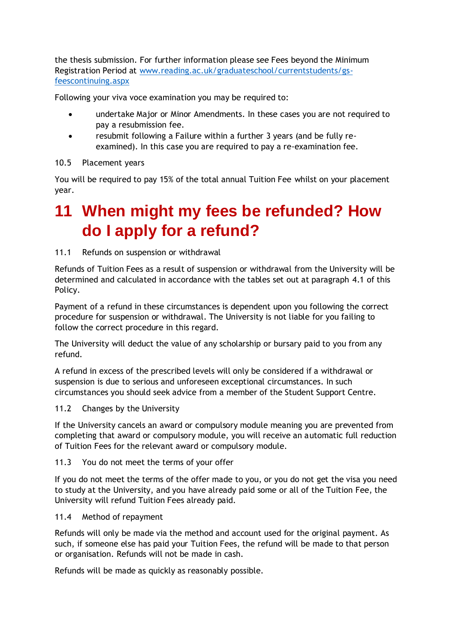the thesis submission. For further information please see Fees beyond the Minimum Registration Period at [www.reading.ac.uk/graduateschool/currentstudents/gs](http://www.reading.ac.uk/graduateschool/currentstudents/gs-feescontinuing.aspx)[feescontinuing.aspx](http://www.reading.ac.uk/graduateschool/currentstudents/gs-feescontinuing.aspx)

Following your viva voce examination you may be required to:

- undertake Major or Minor Amendments. In these cases you are not required to pay a resubmission fee.
- resubmit following a Failure within a further 3 years (and be fully reexamined). In this case you are required to pay a re-examination fee.

10.5 Placement years

You will be required to pay 15% of the total annual Tuition Fee whilst on your placement year.

### **11 When might my fees be refunded? How do I apply for a refund?**

#### 11.1 Refunds on suspension or withdrawal

Refunds of Tuition Fees as a result of suspension or withdrawal from the University will be determined and calculated in accordance with the tables set out at paragraph 4.1 of this Policy.

Payment of a refund in these circumstances is dependent upon you following the correct procedure for suspension or withdrawal. The University is not liable for you failing to follow the correct procedure in this regard.

The University will deduct the value of any scholarship or bursary paid to you from any refund.

A refund in excess of the prescribed levels will only be considered if a withdrawal or suspension is due to serious and unforeseen exceptional circumstances. In such circumstances you should seek advice from a member of the Student Support Centre.

#### 11.2 Changes by the University

If the University cancels an award or compulsory module meaning you are prevented from completing that award or compulsory module, you will receive an automatic full reduction of Tuition Fees for the relevant award or compulsory module.

#### 11.3 You do not meet the terms of your offer

If you do not meet the terms of the offer made to you, or you do not get the visa you need to study at the University, and you have already paid some or all of the Tuition Fee, the University will refund Tuition Fees already paid.

#### 11.4 Method of repayment

Refunds will only be made via the method and account used for the original payment. As such, if someone else has paid your Tuition Fees, the refund will be made to that person or organisation. Refunds will not be made in cash.

Refunds will be made as quickly as reasonably possible.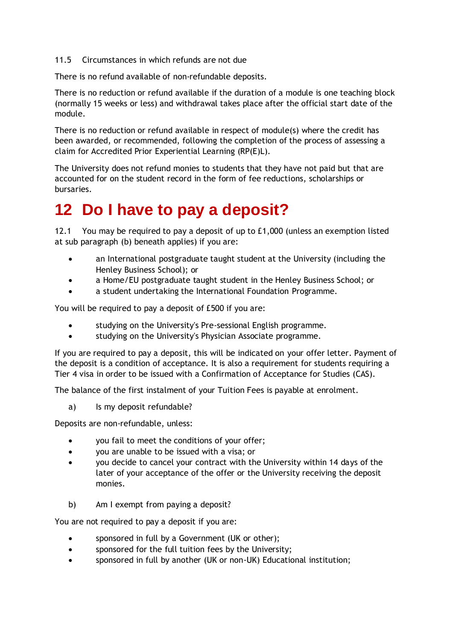11.5 Circumstances in which refunds are not due

There is no refund available of non-refundable deposits.

There is no reduction or refund available if the duration of a module is one teaching block (normally 15 weeks or less) and withdrawal takes place after the official start date of the module.

There is no reduction or refund available in respect of module(s) where the credit has been awarded, or recommended, following the completion of the process of assessing a claim for Accredited Prior Experiential Learning (RP(E)L).

The University does not refund monies to students that they have not paid but that are accounted for on the student record in the form of fee reductions, scholarships or bursaries.

### **12 Do I have to pay a deposit?**

12.1 You may be required to pay a deposit of up to £1,000 (unless an exemption listed at sub paragraph (b) beneath applies) if you are:

- an International postgraduate taught student at the University (including the Henley Business School); or
- a Home/EU postgraduate taught student in the Henley Business School; or
- a student undertaking the International Foundation Programme.

You will be required to pay a deposit of £500 if you are:

- studying on the University's Pre-sessional English programme.
- studying on the University's Physician Associate programme.

If you are required to pay a deposit, this will be indicated on your offer letter. Payment of the deposit is a condition of acceptance. It is also a requirement for students requiring a Tier 4 visa in order to be issued with a Confirmation of Acceptance for Studies (CAS).

The balance of the first instalment of your Tuition Fees is payable at enrolment.

a) Is my deposit refundable?

Deposits are non-refundable, unless:

- you fail to meet the conditions of your offer;
- you are unable to be issued with a visa; or
- you decide to cancel your contract with the University within 14 days of the later of your acceptance of the offer or the University receiving the deposit monies.
- b) Am I exempt from paying a deposit?

You are not required to pay a deposit if you are:

- sponsored in full by a Government (UK or other);
- sponsored for the full tuition fees by the University;
- sponsored in full by another (UK or non-UK) Educational institution;